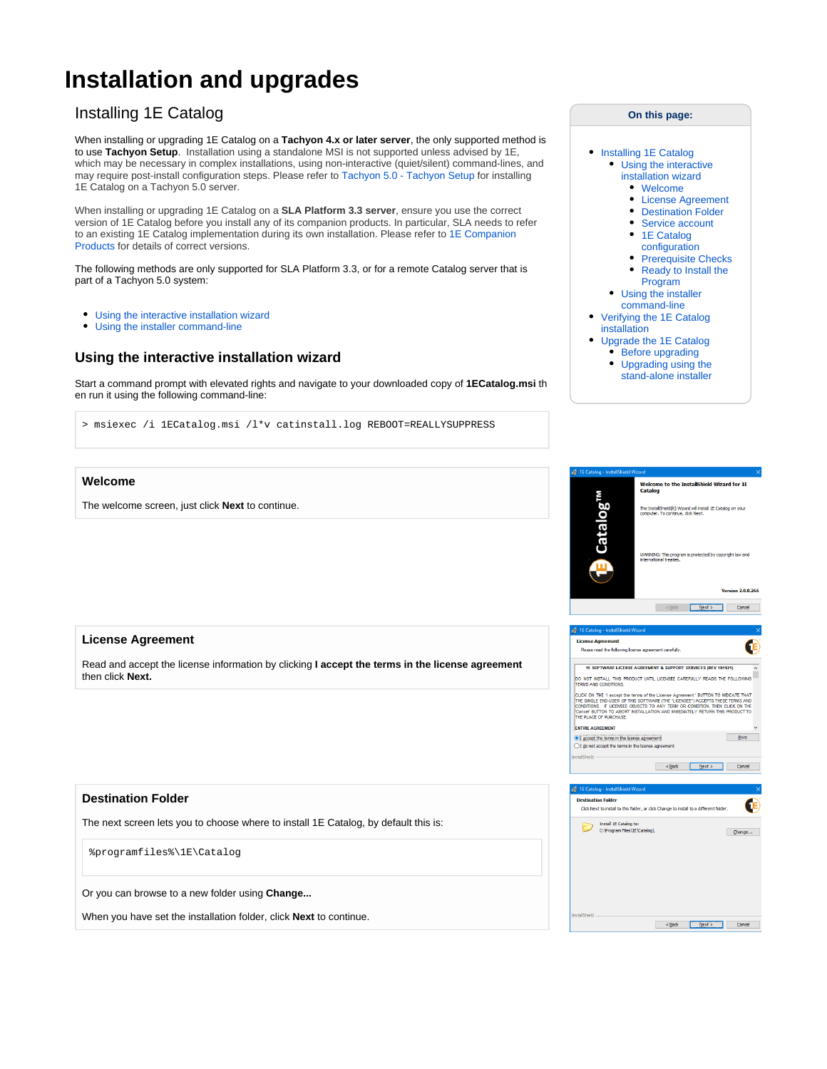# **Installation and upgrades**

## Installing 1E Catalog

When installing or upgrading 1E Catalog on a **Tachyon 4.x or later server**, the only supported method is to use **Tachyon Setup**. Installation using a standalone MSI is not supported unless advised by 1E, which may be necessary in complex installations, using non-interactive (quiet/silent) command-lines, and may require post-install configuration steps. Please refer to [Tachyon 5.0 - Tachyon Setup](https://help.1e.com/display/TCN50/Tachyon+Setup) for installing 1E Catalog on a Tachyon 5.0 server.

When installing or upgrading 1E Catalog on a **SLA Platform 3.3 server**, ensure you use the correct version of 1E Catalog before you install any of its companion products. In particular, SLA needs to refer to an existing 1E Catalog implementation during its own installation. Please refer to [1E Companion](https://help.1e.com/display/CAT20/1E+Companion+Products)  [Products](https://help.1e.com/display/CAT20/1E+Companion+Products) for details of correct versions.

The following methods are only supported for SLA Platform 3.3, or for a remote Catalog server that is part of a Tachyon 5.0 system:

- [Using the interactive installation wizard](https://help.1e.com/display/CAT20/Installation+and+upgrades#Installationandupgrades-Usingtheinteractiveinstallationwizard)
- $\bullet$ [Using the installer command-line](https://help.1e.com/display/CAT20/Installation+and+upgrades#Installationandupgrades-Usingtheinstallercommand-line)

## **Using the interactive installation wizard**

Start a command prompt with elevated rights and navigate to your downloaded copy of **1ECatalog.msi** th en run it using the following command-line:

> msiexec /i 1ECatalog.msi /l\*v catinstall.log REBOOT=REALLYSUPPRESS

• [Installing 1E Catalog](https://help.1e.com/display/CAT20/Installation+and+upgrades#Installationandupgrades-Installing1ECatalog) [Using the interactive](https://help.1e.com/display/CAT20/Installation+and+upgrades#Installationandupgrades-Usingtheinteractiveinstallationwizard)  [installation wizard](https://help.1e.com/display/CAT20/Installation+and+upgrades#Installationandupgrades-Usingtheinteractiveinstallationwizard) [Welcome](https://help.1e.com/display/CAT20/Installation+and+upgrades#Installationandupgrades-Welcome) [License Agreement](https://help.1e.com/display/CAT20/Installation+and+upgrades#Installationandupgrades-LicenseAgreement) • [Destination Folder](https://help.1e.com/display/CAT20/Installation+and+upgrades#Installationandupgrades-DestinationFolder) • [Service account](https://help.1e.com/display/CAT20/Installation+and+upgrades#Installationandupgrades-Serviceaccount) • 1E Catalog [configuration](https://help.1e.com/display/CAT20/Installation+and+upgrades#Installationandupgrades-1ECatalogconfiguration) • [Prerequisite Checks](https://help.1e.com/display/CAT20/Installation+and+upgrades#Installationandupgrades-PrerequisiteChecks) • Ready to Install the [Program](https://help.1e.com/display/CAT20/Installation+and+upgrades#Installationandupgrades-ReadytoInstalltheProgram) [Using the installer](https://help.1e.com/display/CAT20/Installation+and+upgrades#Installationandupgrades-Usingtheinstallercommand-line) 

**On this page:**

- [command-line](https://help.1e.com/display/CAT20/Installation+and+upgrades#Installationandupgrades-Usingtheinstallercommand-line) [Verifying the 1E Catalog](https://help.1e.com/display/CAT20/Installation+and+upgrades#Installationandupgrades-Verifythe1ECatalogInstallationVerifyingthe1ECataloginstallation)
- [installation](https://help.1e.com/display/CAT20/Installation+and+upgrades#Installationandupgrades-Verifythe1ECatalogInstallationVerifyingthe1ECataloginstallation) [Upgrade the 1E Catalog](https://help.1e.com/display/CAT20/Installation+and+upgrades#Installationandupgrades-Upgradethe1ECatalog)
- $\bullet$ [Before upgrading](https://help.1e.com/display/CAT20/Installation+and+upgrades#Installationandupgrades-Beforeupgrading) • Upgrading using the
	- [stand-alone installer](https://help.1e.com/display/CAT20/Installation+and+upgrades#Installationandupgrades-Upgradingusingthestand-aloneinstaller)

## The welcome screen, just click **Next** to continue.

**Welcome**

### **License Agreement**

Read and accept the license information by clicking **I accept the terms in the license agreement** then click **Next.**



The next screen lets you to choose where to install 1E Catalog, by default this is:

%programfiles%\1E\Catalog

Or you can browse to a new folder using **Change...**

When you have set the installation folder, click **Next** to continue.

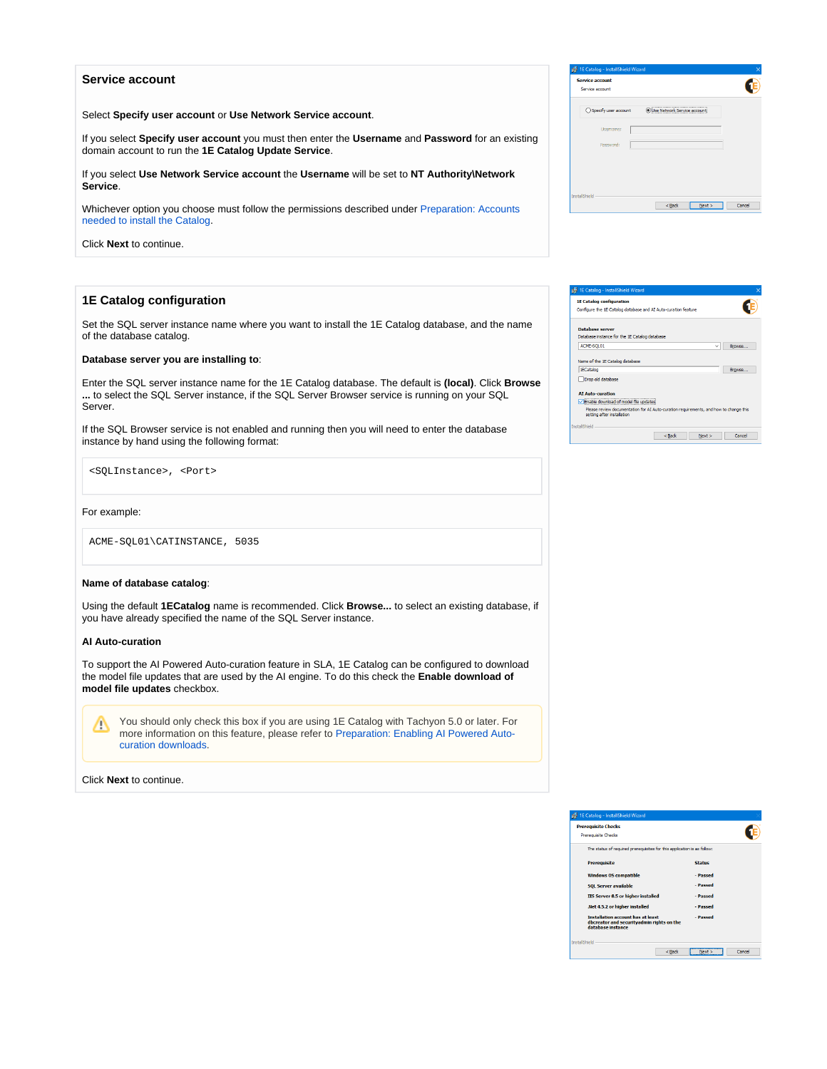#### **Service account**

Select **Specify user account** or **Use Network Service account**.

If you select **Specify user account** you must then enter the **Username** and **Password** for an existing domain account to run the **1E Catalog Update Service**.

If you select **Use Network Service account** the **Username** will be set to **NT Authority\Network Service**.

Whichever option you choose must follow the permissions described under [Preparation: Accounts](https://help.1e.com/display/CAT20/Preparation#Preparation-AccountsneededtoinstalltheCatalog)  [needed to install the Catalog.](https://help.1e.com/display/CAT20/Preparation#Preparation-AccountsneededtoinstalltheCatalog)

Click **Next** to continue.

## **1E Catalog configuration**

Set the SQL server instance name where you want to install the 1E Catalog database, and the name of the database catalog.

#### **Database server you are installing to**:

Enter the SQL server instance name for the 1E Catalog database. The default is **(local)**. Click **Browse ...** to select the SQL Server instance, if the SQL Server Browser service is running on your SQL Server.

If the SQL Browser service is not enabled and running then you will need to enter the database instance by hand using the following format:

<SQLInstance>, <Port>

For example:

ACME-SQL01\CATINSTANCE, 5035

#### **Name of database catalog**:

Using the default **1ECatalog** name is recommended. Click **Browse...** to select an existing database, if you have already specified the name of the SQL Server instance.

#### **AI Auto-curation**

To support the AI Powered Auto-curation feature in SLA, 1E Catalog can be configured to download the model file updates that are used by the AI engine. To do this check the **Enable download of model file updates** checkbox.

You should only check this box if you are using 1E Catalog with Tachyon 5.0 or later. For Δ more information on this feature, please refer to [Preparation: Enabling AI Powered Auto](https://help.1e.com/display/CAT20/Preparation#Preparation-EnablingAIPoweredAuto-curationdownloads)[curation downloads](https://help.1e.com/display/CAT20/Preparation#Preparation-EnablingAIPoweredAuto-curationdownloads).

Click **Next** to continue.

| 1E Catalog - InstallShield Wizard         |                                      | $\times$ |
|-------------------------------------------|--------------------------------------|----------|
| <b>Service account</b><br>Service account |                                      |          |
| ○ Specify user account                    | <b>O Use Network Service account</b> |          |
| Username:                                 |                                      |          |
| Password:                                 |                                      |          |
|                                           |                                      |          |
|                                           |                                      |          |
| InstallShield                             | <back<br>Next</back<br>              | Cancel   |
|                                           |                                      |          |

| <b>1E Catalog configuration</b>                                                                                          |                                                                                       |        |
|--------------------------------------------------------------------------------------------------------------------------|---------------------------------------------------------------------------------------|--------|
| Configure the 1E Catalog database and AI Auto-curation feature                                                           |                                                                                       |        |
| <b>Database server</b>                                                                                                   |                                                                                       |        |
| Database instance for the 1E Catalog database                                                                            |                                                                                       |        |
|                                                                                                                          |                                                                                       |        |
| ACME-SQL01                                                                                                               | $\checkmark$                                                                          | Browse |
|                                                                                                                          |                                                                                       |        |
|                                                                                                                          |                                                                                       | Browse |
| 1ECatalog                                                                                                                |                                                                                       |        |
|                                                                                                                          |                                                                                       |        |
| Name of the 1E Catalog database<br>Drop old database<br><b>AI Auto-curation</b><br>Enable download of model file updates |                                                                                       |        |
| setting after installation                                                                                               | Please review documentation for AI Auto-curation requirements, and how to change this |        |

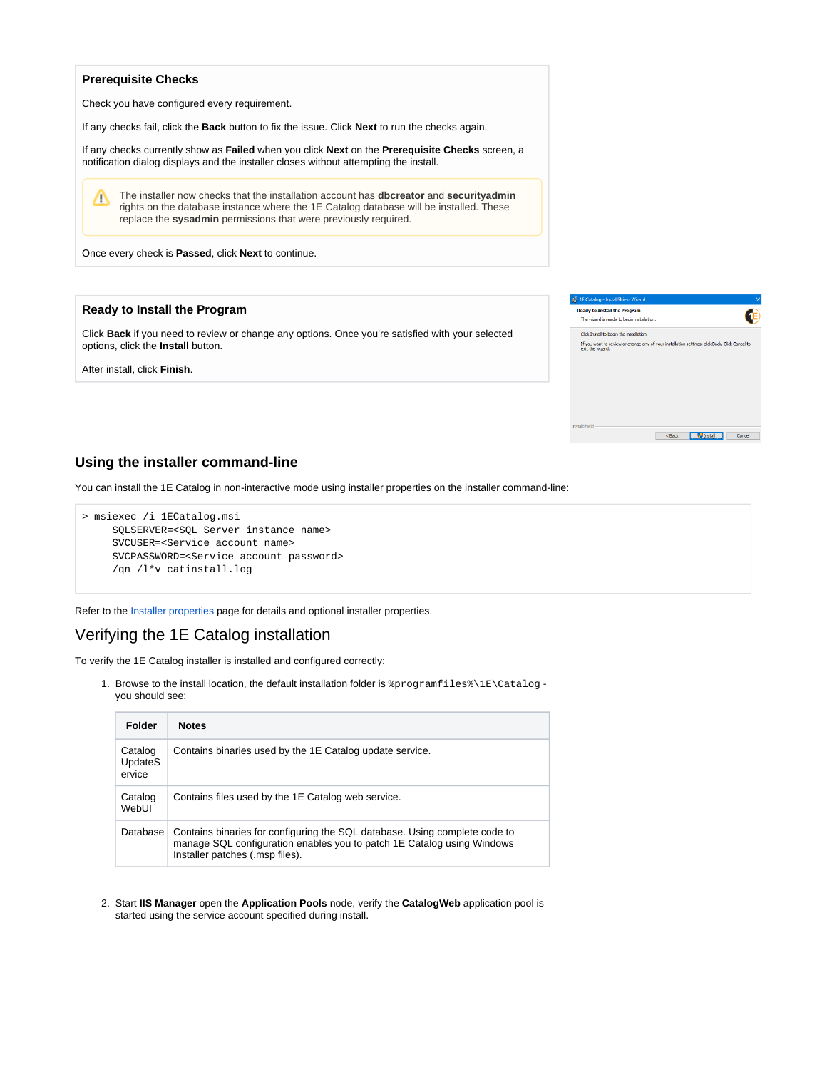#### **Prerequisite Checks**

Check you have configured every requirement.

If any checks fail, click the **Back** button to fix the issue. Click **Next** to run the checks again.

If any checks currently show as **Failed** when you click **Next** on the **Prerequisite Checks** screen, a notification dialog displays and the installer closes without attempting the install.

The installer now checks that the installation account has **dbcreator** and **securityadmin** Λ rights on the database instance where the 1E Catalog database will be installed. These replace the **sysadmin** permissions that were previously required.

Once every check is **Passed**, click **Next** to continue.

#### **Ready to Install the Program**

Click **Back** if you need to review or change any options. Once you're satisfied with your selected options, click the **Install** button.

After install, click **Finish**.

| <b>Ready to Install the Program</b>                                                                               |  |  |
|-------------------------------------------------------------------------------------------------------------------|--|--|
| The wizard is ready to begin installation.                                                                        |  |  |
| Click Install to begin the installation.                                                                          |  |  |
| If you want to review or change any of your installation settings, dick Back. Click Cancel to<br>exit the wizard. |  |  |
|                                                                                                                   |  |  |
|                                                                                                                   |  |  |
|                                                                                                                   |  |  |
|                                                                                                                   |  |  |
|                                                                                                                   |  |  |

## **Using the installer command-line**

You can install the 1E Catalog in non-interactive mode using installer properties on the installer command-line:

```
> msiexec /i 1ECatalog.msi 
SQLSERVER=<SQL Server instance name>
 SVCUSER=<Service account name>
 SVCPASSWORD=<Service account password>
 /qn /l*v catinstall.log
```
Refer to the [Installer properties](https://help.1e.com/display/CAT20/Installer+properties) page for details and optional installer properties.

## <span id="page-2-0"></span>Verifying the 1E Catalog installation

To verify the 1E Catalog installer is installed and configured correctly:

1. Browse to the install location, the default installation folder is %programfiles%\1E\Catalog you should see:

| <b>Folder</b>                       | <b>Notes</b>                                                                                                                                                                            |
|-------------------------------------|-----------------------------------------------------------------------------------------------------------------------------------------------------------------------------------------|
| Catalog<br><b>UpdateS</b><br>ervice | Contains binaries used by the 1E Catalog update service.                                                                                                                                |
| Catalog<br>WebUI                    | Contains files used by the 1E Catalog web service.                                                                                                                                      |
| Database                            | Contains binaries for configuring the SQL database. Using complete code to<br>manage SQL configuration enables you to patch 1E Catalog using Windows<br>Installer patches (.msp files). |

2. Start **IIS Manager** open the **Application Pools** node, verify the **CatalogWeb** application pool is started using the service account specified during install.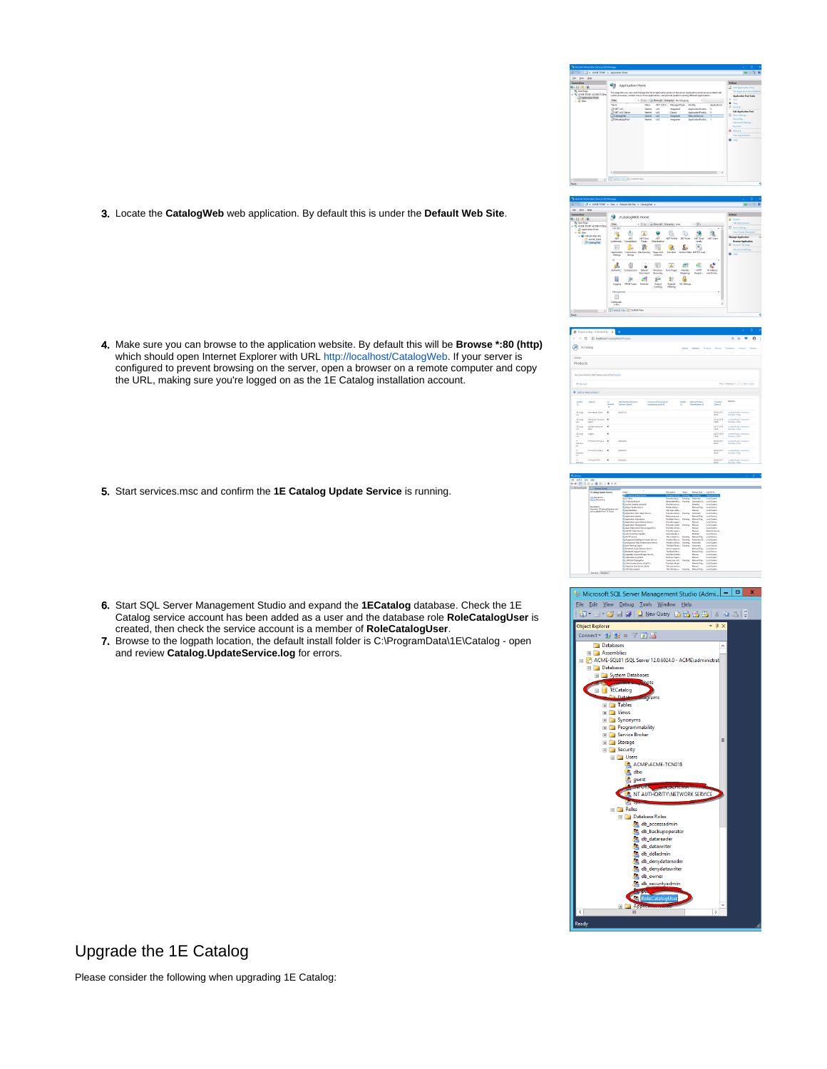3. Locate the **CatalogWeb** web application. By default this is under the **Default Web Site**.

- 4. Make sure you can browse to the application website. By default this will be **Browse \*:80 (http)** which should open Internet Explorer with URL [http://localhost/CatalogWeb](http://localhost/CatalogWeb.). If your server is configured to prevent browsing on the server, open a browser on a remote computer and copy the URL, making sure you're logged on as the 1E Catalog installation account.
- 5. Start services.msc and confirm the **1E Catalog Update Service** is running.
- 6. Start SQL Server Management Studio and expand the **1ECatalog** database. Check the 1E Catalog service account has been added as a user and the database role **RoleCatalogUser** is created, then check the service account is a member of **RoleCatalogUser**.
- 7. Browse to the logpath location, the default install folder is C:\ProgramData\1E\Catalog open and review **Catalog.UpdateService.log** for errors.











Upgrade the 1E Catalog

Please consider the following when upgrading 1E Catalog: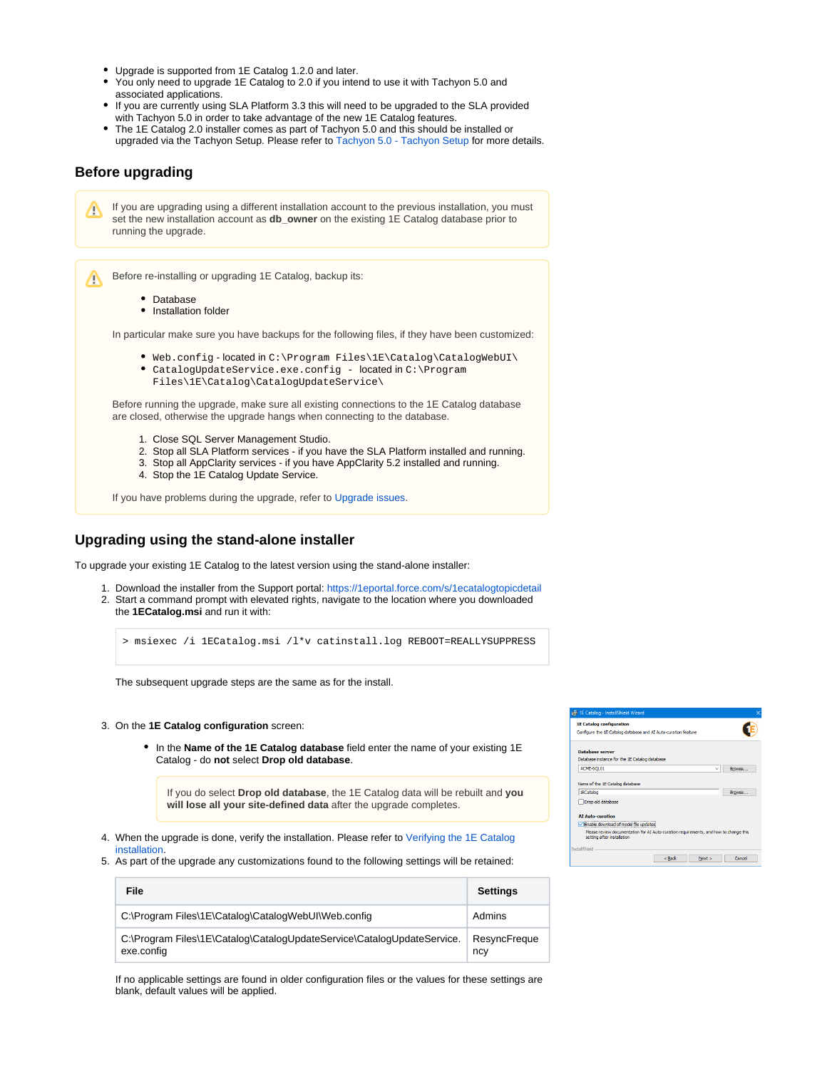- Upgrade is supported from 1E Catalog 1.2.0 and later.
- You only need to upgrade 1E Catalog to 2.0 if you intend to use it with Tachyon 5.0 and associated applications.
- If you are currently using SLA Platform 3.3 this will need to be upgraded to the SLA provided with Tachyon 5.0 in order to take advantage of the new 1E Catalog features.
- The 1E Catalog 2.0 installer comes as part of Tachyon 5.0 and this should be installed or upgraded via the Tachyon Setup. Please refer to [Tachyon 5.0 - Tachyon Setup](https://help.1e.com/display/TCN50/Tachyon+Setup) for more details.

## **Before upgrading**

If you are upgrading using a different installation account to the previous installation, you must Λ set the new installation account as **db\_owner** on the existing 1E Catalog database prior to running the upgrade.

Before re-installing or upgrading 1E Catalog, backup its: ╱╲

- Database
- Installation folder

In particular make sure you have backups for the following files, if they have been customized:

- Web.config located in C:\Program Files\1E\Catalog\CatalogWebUI\
- CatalogUpdateService.exe.config located in C:\Program
	- Files\1E\Catalog\CatalogUpdateService\

Before running the upgrade, make sure all existing connections to the 1E Catalog database are closed, otherwise the upgrade hangs when connecting to the database.

- 1. Close SQL Server Management Studio.
- 2. Stop all SLA Platform services if you have the SLA Platform installed and running.
- 3. Stop all AppClarity services if you have AppClarity 5.2 installed and running.
- 4. Stop the 1E Catalog Update Service.

If you have problems during the upgrade, refer to [Upgrade issues](https://help.1e.com/display/CAT20/Upgrade+issues).

## **Upgrading using the stand-alone installer**

To upgrade your existing 1E Catalog to the latest version using the stand-alone installer:

- 1. Download the installer from the Support portal:<https://1eportal.force.com/s/1ecatalogtopicdetail>
- 2. Start a command prompt with elevated rights, navigate to the location where you downloaded the **1ECatalog.msi** and run it with:

> msiexec /i 1ECatalog.msi /l\*v catinstall.log REBOOT=REALLYSUPPRESS

The subsequent upgrade steps are the same as for the install.

- 3. On the **1E Catalog configuration** screen:
	- In the **Name of the 1E Catalog database** field enter the name of your existing 1E Catalog - do **not** select **Drop old database**.

If you do select **Drop old database**, the 1E Catalog data will be rebuilt and **you will lose all your site-defined data** after the upgrade completes.

- 4. When the upgrade is done, verify the installation. Please refer to [Verifying the 1E Catalog](#page-2-0)  [installation.](#page-2-0)
- 5. As part of the upgrade any customizations found to the following settings will be retained:

| File                                                                                 | <b>Settings</b>     |
|--------------------------------------------------------------------------------------|---------------------|
| C:\Program Files\1E\Catalog\CatalogWebUI\Web.config                                  | Admins              |
| C:\Program Files\1E\Catalog\CatalogUpdateService\CatalogUpdateService.<br>exe.config | ResyncFreque<br>ncy |

If no applicable settings are found in older configuration files or the values for these settings are blank, default values will be applied.

| # 1E Catalog - InstallShield Wizard                                                                                 |        |
|---------------------------------------------------------------------------------------------------------------------|--------|
| <b>1E Catalog configuration</b>                                                                                     |        |
| Configure the 1E Catalog database and AI Auto-curation feature                                                      |        |
| <b>Database server</b>                                                                                              |        |
| Database instance for the 1E Catalog database                                                                       |        |
| ACME-SQL01<br>$\checkmark$                                                                                          | Browse |
|                                                                                                                     |        |
| Name of the 1E Catalog database                                                                                     |        |
| 1ECatalog                                                                                                           | Browse |
| Drop old database                                                                                                   |        |
|                                                                                                                     |        |
| <b>AI Auto-curation</b>                                                                                             |        |
| Enable download of model file updates                                                                               |        |
| Please review documentation for AI Auto-curation requirements, and how to change this<br>setting after installation |        |
| <b>InstallShield</b>                                                                                                |        |
| $<$ Back<br>Next                                                                                                    | Cancel |